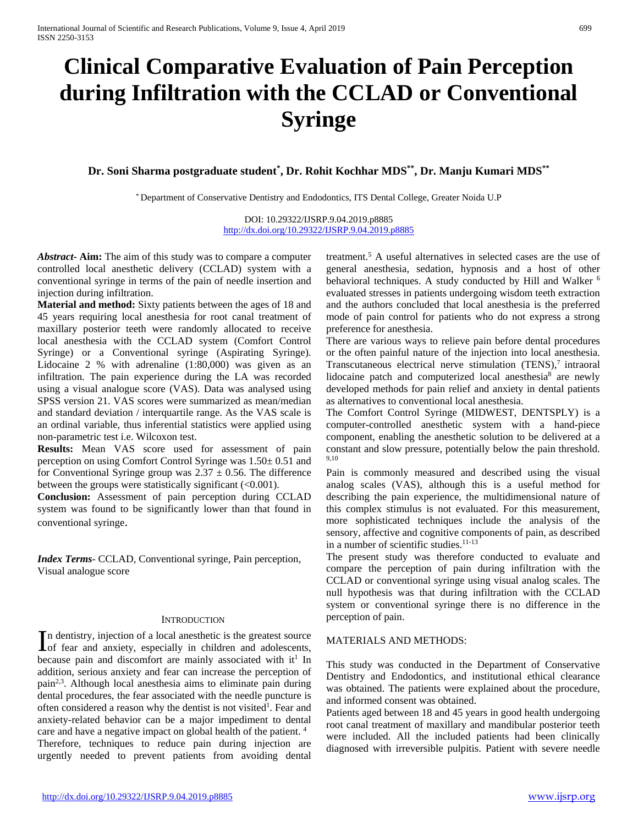# **Clinical Comparative Evaluation of Pain Perception during Infiltration with the CCLAD or Conventional Syringe**

**Dr. Soni Sharma postgraduate student\* , Dr. Rohit Kochhar MDS\*\*, Dr. Manju Kumari MDS\*\***

\* Department of Conservative Dentistry and Endodontics, ITS Dental College, Greater Noida U.P

DOI: 10.29322/IJSRP.9.04.2019.p8885 [http://dx.doi.org/10.29322/IJSRP.9.04.2019.p8885](http://dx.doi.org/10.29322/IJSRP.9.03.2019.p8885)

*Abstract***- Aim:** The aim of this study was to compare a computer controlled local anesthetic delivery (CCLAD) system with a conventional syringe in terms of the pain of needle insertion and injection during infiltration.

**Material and method:** Sixty patients between the ages of 18 and 45 years requiring local anesthesia for root canal treatment of maxillary posterior teeth were randomly allocated to receive local anesthesia with the CCLAD system (Comfort Control Syringe) or a Conventional syringe (Aspirating Syringe). Lidocaine 2 % with adrenaline (1:80,000) was given as an infiltration. The pain experience during the LA was recorded using a visual analogue score (VAS). Data was analysed using SPSS version 21. VAS scores were summarized as mean/median and standard deviation / interquartile range. As the VAS scale is an ordinal variable, thus inferential statistics were applied using non-parametric test i.e. Wilcoxon test.

**Results:** Mean VAS score used for assessment of pain perception on using Comfort Control Syringe was 1.50± 0.51 and for Conventional Syringe group was  $2.37 \pm 0.56$ . The difference between the groups were statistically significant (<0.001).

**Conclusion:** Assessment of pain perception during CCLAD system was found to be significantly lower than that found in conventional syringe.

*Index Terms*- CCLAD, Conventional syringe, Pain perception, Visual analogue score

### **INTRODUCTION**

n dentistry, injection of a local anesthetic is the greatest source In dentistry, injection of a local anesthetic is the greatest source<br>of fear and anxiety, especially in children and adolescents, because pain and discomfort are mainly associated with  $it<sup>1</sup>$  In addition, serious anxiety and fear can increase the perception of pain2,3. Although local anesthesia aims to eliminate pain during dental procedures, the fear associated with the needle puncture is often considered a reason why the dentist is not visited<sup>1</sup>. Fear and anxiety-related behavior can be a major impediment to dental care and have a negative impact on global health of the patient. 4 Therefore, techniques to reduce pain during injection are urgently needed to prevent patients from avoiding dental

treatment.5 A useful alternatives in selected cases are the use of general anesthesia, sedation, hypnosis and a host of other behavioral techniques. A study conducted by Hill and Walker <sup>6</sup> evaluated stresses in patients undergoing wisdom teeth extraction and the authors concluded that local anesthesia is the preferred mode of pain control for patients who do not express a strong preference for anesthesia.

There are various ways to relieve pain before dental procedures or the often painful nature of the injection into local anesthesia. Transcutaneous electrical nerve stimulation  $(TENS)^7$  intraoral lidocaine patch and computerized local anesthesia<sup>8</sup> are newly developed methods for pain relief and anxiety in dental patients as alternatives to conventional local anesthesia.

The Comfort Control Syringe (MIDWEST, DENTSPLY) is a computer-controlled anesthetic system with a hand-piece component, enabling the anesthetic solution to be delivered at a constant and slow pressure, potentially below the pain threshold. 9,10

Pain is commonly measured and described using the visual analog scales (VAS), although this is a useful method for describing the pain experience, the multidimensional nature of this complex stimulus is not evaluated. For this measurement, more sophisticated techniques include the analysis of the sensory, affective and cognitive components of pain, as described in a number of scientific studies.<sup>11-13</sup>

The present study was therefore conducted to evaluate and compare the perception of pain during infiltration with the CCLAD or conventional syringe using visual analog scales. The null hypothesis was that during infiltration with the CCLAD system or conventional syringe there is no difference in the perception of pain.

### MATERIALS AND METHODS:

This study was conducted in the Department of Conservative Dentistry and Endodontics, and institutional ethical clearance was obtained. The patients were explained about the procedure, and informed consent was obtained.

Patients aged between 18 and 45 years in good health undergoing root canal treatment of maxillary and mandibular posterior teeth were included. All the included patients had been clinically diagnosed with irreversible pulpitis. Patient with severe needle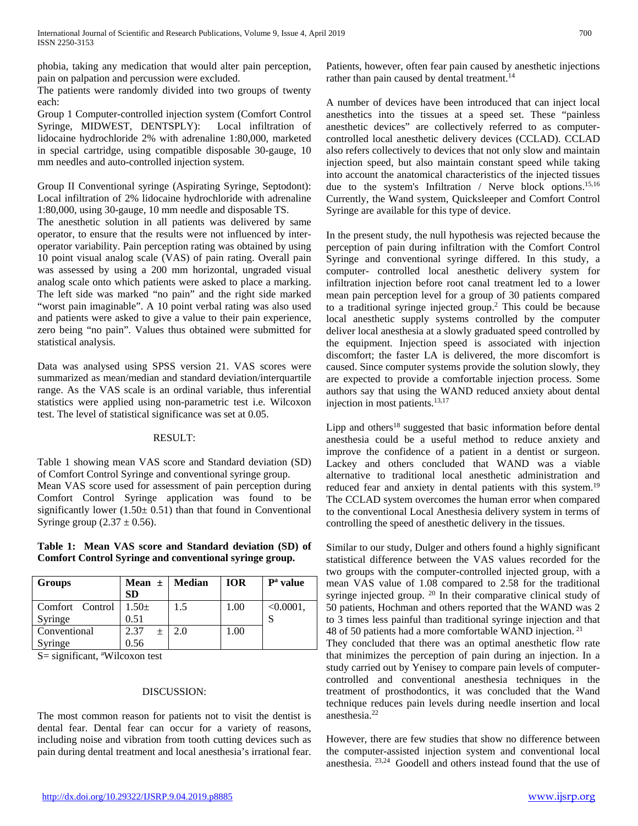phobia, taking any medication that would alter pain perception, pain on palpation and percussion were excluded.

The patients were randomly divided into two groups of twenty each:

Group 1 Computer-controlled injection system (Comfort Control Syringe, MIDWEST, DENTSPLY): Local infiltration of lidocaine hydrochloride 2% with adrenaline 1:80,000, marketed in special cartridge, using compatible disposable 30-gauge, 10 mm needles and auto-controlled injection system.

Group II Conventional syringe (Aspirating Syringe, Septodont): Local infiltration of 2% lidocaine hydrochloride with adrenaline 1:80,000, using 30-gauge, 10 mm needle and disposable TS.

The anesthetic solution in all patients was delivered by same operator, to ensure that the results were not influenced by interoperator variability. Pain perception rating was obtained by using 10 point visual analog scale (VAS) of pain rating. Overall pain was assessed by using a 200 mm horizontal, ungraded visual analog scale onto which patients were asked to place a marking. The left side was marked "no pain" and the right side marked "worst pain imaginable". A 10 point verbal rating was also used and patients were asked to give a value to their pain experience, zero being "no pain". Values thus obtained were submitted for statistical analysis.

Data was analysed using SPSS version 21. VAS scores were summarized as mean/median and standard deviation/interquartile range. As the VAS scale is an ordinal variable, thus inferential statistics were applied using non-parametric test i.e. Wilcoxon test. The level of statistical significance was set at 0.05.

### RESULT:

Table 1 showing mean VAS score and Standard deviation (SD) of Comfort Control Syringe and conventional syringe group. Mean VAS score used for assessment of pain perception during

Comfort Control Syringe application was found to be significantly lower  $(1.50 \pm 0.51)$  than that found in Conventional Syringe group  $(2.37 \pm 0.56)$ .

**Table 1: Mean VAS score and Standard deviation (SD) of Comfort Control Syringe and conventional syringe group.**

| <b>Groups</b>   | Mean $\pm$   Median<br><b>SD</b> |     | <b>IOR</b> | P <sup>a</sup> value |
|-----------------|----------------------------------|-----|------------|----------------------|
| Comfort Control | $1.50+$                          | 1.5 | 1.00       | $< 0.0001$ ,         |
| Syringe         | 0.51                             |     |            |                      |
| Conventional    | 2.37<br>$+$                      | 2.0 | 1.00       |                      |
| Syringe         | 0.56                             |     |            |                      |

S = significant, <sup>a</sup>Wilcoxon test

### DISCUSSION:

The most common reason for patients not to visit the dentist is dental fear. Dental fear can occur for a variety of reasons, including noise and vibration from tooth cutting devices such as pain during dental treatment and local anesthesia's irrational fear.

Patients, however, often fear pain caused by anesthetic injections rather than pain caused by dental treatment.<sup>14</sup>

A number of devices have been introduced that can inject local anesthetics into the tissues at a speed set. These "painless anesthetic devices" are collectively referred to as computercontrolled local anesthetic delivery devices (CCLAD). CCLAD also refers collectively to devices that not only slow and maintain injection speed, but also maintain constant speed while taking into account the anatomical characteristics of the injected tissues due to the system's Infiltration / Nerve block options.<sup>15,16</sup> Currently, the Wand system, Quicksleeper and Comfort Control Syringe are available for this type of device.

In the present study, the null hypothesis was rejected because the perception of pain during infiltration with the Comfort Control Syringe and conventional syringe differed. In this study, a computer- controlled local anesthetic delivery system for infiltration injection before root canal treatment led to a lower mean pain perception level for a group of 30 patients compared to a traditional syringe injected group.2 This could be because local anesthetic supply systems controlled by the computer deliver local anesthesia at a slowly graduated speed controlled by the equipment. Injection speed is associated with injection discomfort; the faster LA is delivered, the more discomfort is caused. Since computer systems provide the solution slowly, they are expected to provide a comfortable injection process. Some authors say that using the WAND reduced anxiety about dental injection in most patients.13,17

Lipp and others<sup>18</sup> suggested that basic information before dental anesthesia could be a useful method to reduce anxiety and improve the confidence of a patient in a dentist or surgeon. Lackey and others concluded that WAND was a viable alternative to traditional local anesthetic administration and reduced fear and anxiety in dental patients with this system.<sup>19</sup> The CCLAD system overcomes the human error when compared to the conventional Local Anesthesia delivery system in terms of controlling the speed of anesthetic delivery in the tissues.

Similar to our study, Dulger and others found a highly significant statistical difference between the VAS values recorded for the two groups with the computer-controlled injected group, with a mean VAS value of 1.08 compared to 2.58 for the traditional syringe injected group. 20 In their comparative clinical study of 50 patients, Hochman and others reported that the WAND was 2 to 3 times less painful than traditional syringe injection and that 48 of 50 patients had a more comfortable WAND injection. <sup>21</sup>

They concluded that there was an optimal anesthetic flow rate that minimizes the perception of pain during an injection. In a study carried out by Yenisey to compare pain levels of computercontrolled and conventional anesthesia techniques in the treatment of prosthodontics, it was concluded that the Wand technique reduces pain levels during needle insertion and local anesthesia.22

However, there are few studies that show no difference between the computer-assisted injection system and conventional local anesthesia. 23,24 Goodell and others instead found that the use of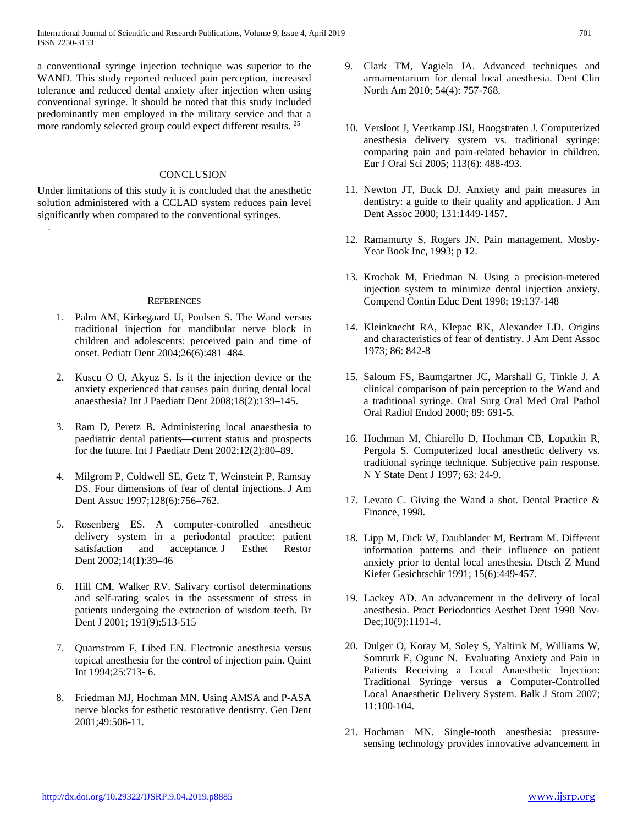a conventional syringe injection technique was superior to the WAND. This study reported reduced pain perception, increased tolerance and reduced dental anxiety after injection when using conventional syringe. It should be noted that this study included predominantly men employed in the military service and that a more randomly selected group could expect different results. <sup>25</sup>

## **CONCLUSION**

Under limitations of this study it is concluded that the anesthetic solution administered with a CCLAD system reduces pain level significantly when compared to the conventional syringes.

.

#### **REFERENCES**

- 1. Palm AM, Kirkegaard U, Poulsen S. The Wand versus traditional injection for mandibular nerve block in children and adolescents: perceived pain and time of onset. Pediatr Dent 2004;26(6):481–484.
- 2. Kuscu O O, Akyuz S. Is it the injection device or the anxiety experienced that causes pain during dental local anaesthesia? Int J Paediatr Dent 2008;18(2):139–145.
- 3. Ram D, Peretz B. Administering local anaesthesia to paediatric dental patients—current status and prospects for the future. Int J Paediatr Dent 2002;12(2):80–89.
- 4. Milgrom P, Coldwell SE, Getz T, Weinstein P, Ramsay DS. Four dimensions of fear of dental injections. J Am Dent Assoc 1997;128(6):756–762.
- 5. Rosenberg ES. A computer-controlled anesthetic delivery system in a periodontal practice: patient satisfaction and acceptance*.* J Esthet Restor Dent 2002;14(1):39–46
- 6. Hill CM, Walker RV. Salivary cortisol determinations and self-rating scales in the assessment of stress in patients undergoing the extraction of wisdom teeth. Br Dent J 2001; 191(9):513-515
- 7. Quarnstrom F, Libed EN. Electronic anesthesia versus topical anesthesia for the control of injection pain. Quint Int 1994;25:713- 6.
- 8. Friedman MJ, Hochman MN. Using AMSA and P-ASA nerve blocks for esthetic restorative dentistry. Gen Dent 2001;49:506-11.
- 9. Clark TM, Yagiela JA. Advanced techniques and armamentarium for dental local anesthesia. Dent Clin North Am 2010; 54(4): 757-768.
- 10. Versloot J, Veerkamp JSJ, Hoogstraten J. Computerized anesthesia delivery system vs. traditional syringe: comparing pain and pain-related behavior in children. Eur J Oral Sci 2005; 113(6): 488-493.
- 11. Newton JT, Buck DJ. Anxiety and pain measures in dentistry: a guide to their quality and application. J Am Dent Assoc 2000; 131:1449-1457.
- 12. Ramamurty S, Rogers JN. Pain management. Mosby-Year Book Inc, 1993; p 12.
- 13. Krochak M, Friedman N. Using a precision-metered injection system to minimize dental injection anxiety. Compend Contin Educ Dent 1998; 19:137-148
- 14. Kleinknecht RA, Klepac RK, Alexander LD. Origins and characteristics of fear of dentistry. J Am Dent Assoc 1973; 86: 842-8
- 15. Saloum FS, Baumgartner JC, Marshall G, Tinkle J. A clinical comparison of pain perception to the Wand and a traditional syringe. Oral Surg Oral Med Oral Pathol Oral Radiol Endod 2000; 89: 691-5.
- 16. Hochman M, Chiarello D, Hochman CB, Lopatkin R, Pergola S. Computerized local anesthetic delivery vs. traditional syringe technique. Subjective pain response. N Y State Dent J 1997; 63: 24-9.
- 17. Levato C. Giving the Wand a shot. Dental Practice & Finance, 1998.
- 18. Lipp M, Dick W, Daublander M, Bertram M. Different information patterns and their influence on patient anxiety prior to dental local anesthesia. Dtsch Z Mund Kiefer Gesichtschir 1991; 15(6):449-457.
- 19. Lackey AD. An advancement in the delivery of local anesthesia. Pract Periodontics Aesthet Dent 1998 Nov-Dec;10(9):1191-4.
- 20. Dulger O, Koray M, Soley S, Yaltirik M, Williams W, Somturk E, Ogunc N. Evaluating Anxiety and Pain in Patients Receiving a Local Anaesthetic Injection: Traditional Syringe versus a Computer-Controlled Local Anaesthetic Delivery System. Balk J Stom 2007; 11:100-104.
- 21. Hochman MN. Single-tooth anesthesia: pressuresensing technology provides innovative advancement in